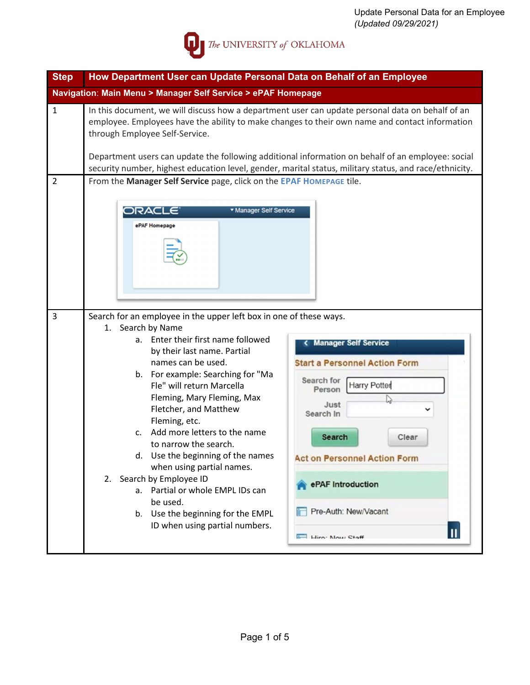

| <b>Step</b>    | How Department User can Update Personal Data on Behalf of an Employee                                                                                                                                                                                                                                                                                                                                                                                                                                                                                                                                                        |                                                                                                                                                                                                                                                            |  |  |  |  |  |
|----------------|------------------------------------------------------------------------------------------------------------------------------------------------------------------------------------------------------------------------------------------------------------------------------------------------------------------------------------------------------------------------------------------------------------------------------------------------------------------------------------------------------------------------------------------------------------------------------------------------------------------------------|------------------------------------------------------------------------------------------------------------------------------------------------------------------------------------------------------------------------------------------------------------|--|--|--|--|--|
|                | Navigation: Main Menu > Manager Self Service > ePAF Homepage                                                                                                                                                                                                                                                                                                                                                                                                                                                                                                                                                                 |                                                                                                                                                                                                                                                            |  |  |  |  |  |
| $\mathbf{1}$   | In this document, we will discuss how a department user can update personal data on behalf of an<br>employee. Employees have the ability to make changes to their own name and contact information<br>through Employee Self-Service.<br>Department users can update the following additional information on behalf of an employee: social<br>security number, highest education level, gender, marital status, military status, and race/ethnicity.                                                                                                                                                                          |                                                                                                                                                                                                                                                            |  |  |  |  |  |
| $\overline{2}$ | From the Manager Self Service page, click on the EPAF HOMEPAGE tile.<br>▼ Manager Self Service<br>ORACLE<br>ePAF Homepage                                                                                                                                                                                                                                                                                                                                                                                                                                                                                                    |                                                                                                                                                                                                                                                            |  |  |  |  |  |
| 3              | Search for an employee in the upper left box in one of these ways.<br>1. Search by Name<br>a. Enter their first name followed<br>by their last name. Partial<br>names can be used.<br>b. For example: Searching for "Ma<br>Fle" will return Marcella<br>Fleming, Mary Fleming, Max<br>Fletcher, and Matthew<br>Fleming, etc.<br>Add more letters to the name<br>$\mathsf{C}$ .<br>to narrow the search.<br>d. Use the beginning of the names<br>when using partial names.<br>2. Search by Employee ID<br>a. Partial or whole EMPL IDs can<br>be used.<br>b. Use the beginning for the EMPL<br>ID when using partial numbers. | < Manager Self Service<br><b>Start a Personnel Action Form</b><br>Search for<br>Harry Potter<br>Person<br>Just<br>Search In<br>Search<br>Clear<br><b>Act on Personnel Action Form</b><br>ePAF Introduction<br>Pre-Auth: New/Vacant<br>Ш<br>Hiro: Now Staff |  |  |  |  |  |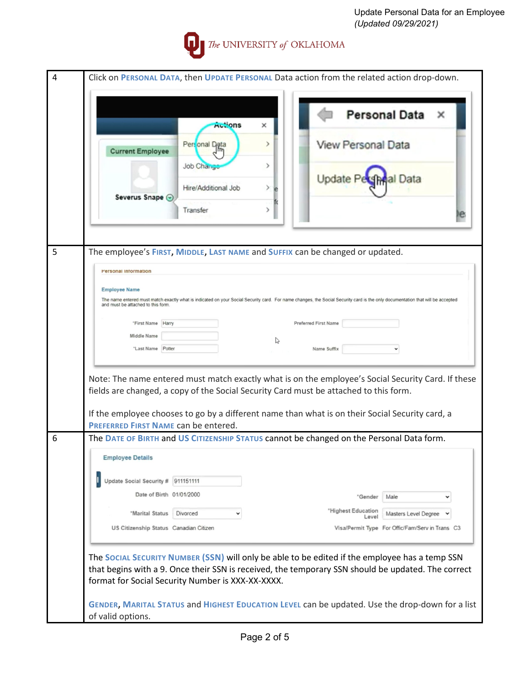

| 4 | Click on PERSONAL DATA, then UPDATE PERSONAL Data action from the related action drop-down.                                                                                                            |  |  |
|---|--------------------------------------------------------------------------------------------------------------------------------------------------------------------------------------------------------|--|--|
|   |                                                                                                                                                                                                        |  |  |
|   |                                                                                                                                                                                                        |  |  |
|   | <b>Personal Data</b><br>×<br><b>Actions</b><br>×                                                                                                                                                       |  |  |
|   |                                                                                                                                                                                                        |  |  |
|   | View Personal Data<br>Personal Data<br>⋗                                                                                                                                                               |  |  |
|   | <b>Current Employee</b>                                                                                                                                                                                |  |  |
|   | Job Change<br>⋋                                                                                                                                                                                        |  |  |
|   | Update <b>F</b><br>al Data<br>Hire/Additional Job<br>У                                                                                                                                                 |  |  |
|   | Severus Snape @                                                                                                                                                                                        |  |  |
|   | Transfer<br>У                                                                                                                                                                                          |  |  |
|   |                                                                                                                                                                                                        |  |  |
|   |                                                                                                                                                                                                        |  |  |
|   |                                                                                                                                                                                                        |  |  |
| 5 | The employee's FIRST, MIDDLE, LAST NAME and SUFFIX can be changed or updated.                                                                                                                          |  |  |
|   | <b>Personal Information</b>                                                                                                                                                                            |  |  |
|   |                                                                                                                                                                                                        |  |  |
|   | <b>Employee Name</b><br>The name entered must match exactly what is indicated on your Social Security card. For name changes, the Social Security card is the only documentation that will be accepted |  |  |
|   | and must be attached to this form.                                                                                                                                                                     |  |  |
|   | "First Name Harry<br><b>Preferred First Name</b>                                                                                                                                                       |  |  |
|   | Middle Name                                                                                                                                                                                            |  |  |
|   | $\mathbb{R}$<br>"Last Name Potter<br>Name Suffix                                                                                                                                                       |  |  |
|   |                                                                                                                                                                                                        |  |  |
|   |                                                                                                                                                                                                        |  |  |
|   | Note: The name entered must match exactly what is on the employee's Social Security Card. If these                                                                                                     |  |  |
|   | fields are changed, a copy of the Social Security Card must be attached to this form.                                                                                                                  |  |  |
|   | If the employee chooses to go by a different name than what is on their Social Security card, a                                                                                                        |  |  |
|   | PREFERRED FIRST NAME can be entered.                                                                                                                                                                   |  |  |
| 6 | The DATE OF BIRTH and US CITIZENSHIP STATUS cannot be changed on the Personal Data form.                                                                                                               |  |  |
|   |                                                                                                                                                                                                        |  |  |
|   | <b>Employee Details</b>                                                                                                                                                                                |  |  |
|   |                                                                                                                                                                                                        |  |  |
|   | Update Social Security # 911151111                                                                                                                                                                     |  |  |
|   | Date of Birth 01/01/2000<br>"Gender<br>Male<br>v                                                                                                                                                       |  |  |
|   | "Highest Education<br>"Marital Status<br>Divorced<br>Masters Level Degree<br>v                                                                                                                         |  |  |
|   | Level<br>US Citizenship Status Canadian Citizen<br>Visa/Permit Type For Offic/Fam/Serv in Trans C3                                                                                                     |  |  |
|   |                                                                                                                                                                                                        |  |  |
|   |                                                                                                                                                                                                        |  |  |
|   | The Social Security Number (SSN) will only be able to be edited if the employee has a temp SSN                                                                                                         |  |  |
|   | that begins with a 9. Once their SSN is received, the temporary SSN should be updated. The correct                                                                                                     |  |  |
|   | format for Social Security Number is XXX-XX-XXXX.                                                                                                                                                      |  |  |
|   |                                                                                                                                                                                                        |  |  |
|   | GENDER, MARITAL STATUS and HIGHEST EDUCATION LEVEL can be updated. Use the drop-down for a list                                                                                                        |  |  |
|   | of valid options.                                                                                                                                                                                      |  |  |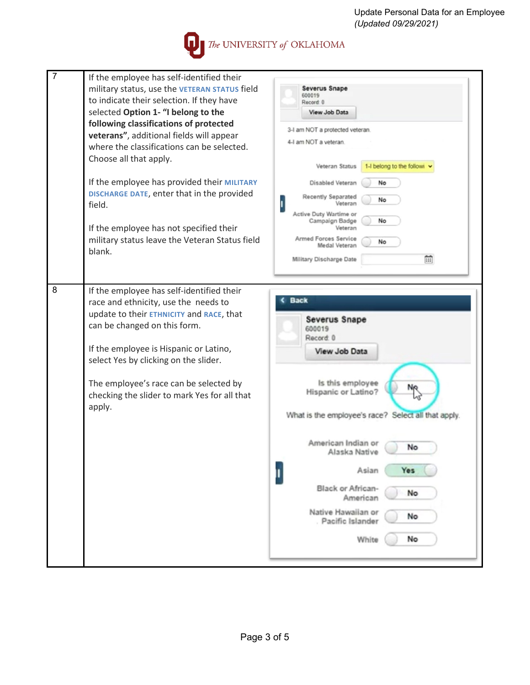Update Personal Data for an Employee *(Updated 09/29/2021)*

The UNIVERSITY of OKLAHOMA

| 7<br>If the employee has self-identified their<br>military status, use the VETERAN STATUS field<br>to indicate their selection. If they have<br>selected Option 1- "I belong to the<br>following classifications of protected<br>veterans", additional fields will appear<br>where the classifications can be selected.<br>Choose all that apply.<br>If the employee has provided their MILITARY<br>DISCHARGE DATE, enter that in the provided<br>field.<br>If the employee has not specified their<br>military status leave the Veteran Status field<br>blank. | <b>Severus Snape</b><br>600019<br>Record 0<br>View Job Data<br>3-I am NOT a protected veteran.<br>4-I am NOT a veteran.<br>1-I belong to the followi<br>Veteran Status<br>Disabled Veteran<br>No<br><b>Recently Separated</b><br>No<br>Active Duty Wartime or<br>Campaign Badge<br>No<br>Veteran<br>Armed Forces Service<br>No<br>Medal Veteran<br>龠<br>Military Discharge Date |
|-----------------------------------------------------------------------------------------------------------------------------------------------------------------------------------------------------------------------------------------------------------------------------------------------------------------------------------------------------------------------------------------------------------------------------------------------------------------------------------------------------------------------------------------------------------------|---------------------------------------------------------------------------------------------------------------------------------------------------------------------------------------------------------------------------------------------------------------------------------------------------------------------------------------------------------------------------------|
| 8<br>If the employee has self-identified their<br>race and ethnicity, use the needs to<br>update to their ETHNICITY and RACE, that<br>can be changed on this form.<br>If the employee is Hispanic or Latino,<br>select Yes by clicking on the slider.<br>The employee's race can be selected by<br>checking the slider to mark Yes for all that<br>apply.                                                                                                                                                                                                       | <b>Back</b><br><b>Severus Snape</b><br>600019<br>Record: 0<br>View Job Data<br>Is this employee<br>Hispanic or Latino?<br>What is the employee's race? Select all that apply.<br>American Indian or<br>No<br>Alaska Native<br>Asian<br><b>Yes</b><br>I<br>Black or African-<br>No<br>American<br>Native Hawaiian or<br>No<br>Pacific Islander<br>No<br>White                    |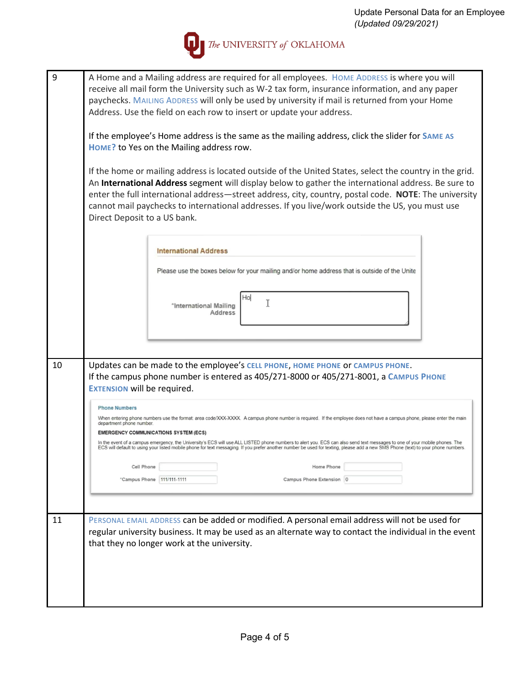

| 9  | A Home and a Mailing address are required for all employees. HOME ADDRESS is where you will<br>receive all mail form the University such as W-2 tax form, insurance information, and any paper<br>paychecks. MAILING ADDRESS will only be used by university if mail is returned from your Home<br>Address. Use the field on each row to insert or update your address.<br>If the employee's Home address is the same as the mailing address, click the slider for SAME AS<br>HOME? to Yes on the Mailing address row.<br>If the home or mailing address is located outside of the United States, select the country in the grid.<br>An International Address segment will display below to gather the international address. Be sure to<br>enter the full international address—street address, city, country, postal code. NOTE: The university<br>cannot mail paychecks to international addresses. If you live/work outside the US, you must use<br>Direct Deposit to a US bank. |  |  |  |  |
|----|--------------------------------------------------------------------------------------------------------------------------------------------------------------------------------------------------------------------------------------------------------------------------------------------------------------------------------------------------------------------------------------------------------------------------------------------------------------------------------------------------------------------------------------------------------------------------------------------------------------------------------------------------------------------------------------------------------------------------------------------------------------------------------------------------------------------------------------------------------------------------------------------------------------------------------------------------------------------------------------|--|--|--|--|
|    | <b>International Address</b><br>Please use the boxes below for your mailing and/or home address that is outside of the Unite                                                                                                                                                                                                                                                                                                                                                                                                                                                                                                                                                                                                                                                                                                                                                                                                                                                         |  |  |  |  |
|    | Hol<br>Τ<br>*International Mailing<br>Address                                                                                                                                                                                                                                                                                                                                                                                                                                                                                                                                                                                                                                                                                                                                                                                                                                                                                                                                        |  |  |  |  |
| 10 | Updates can be made to the employee's CELL PHONE, HOME PHONE OF CAMPUS PHONE.<br>If the campus phone number is entered as 405/271-8000 or 405/271-8001, a CAMPUS PHONE<br><b>EXTENSION will be required.</b>                                                                                                                                                                                                                                                                                                                                                                                                                                                                                                                                                                                                                                                                                                                                                                         |  |  |  |  |
|    | <b>Phone Numbers</b><br>When entering phone numbers use the format: area code/XXX-XXXX. A campus phone number is required. If the employee does not have a campus phone, please enter the main<br>department phone number.<br><b>EMERGENCY COMMUNICATIONS SYSTEM (ECS)</b><br>In the event of a campus emergency, the University's ECS will use ALL LISTED phone numbers to alert you. ECS can also send text messages to one of your mobile phones. The<br>ECS will default to using your listed mobile phone for text messaging. If you prefer another number be used for texting, please add a new SMS Phone (text) to your phone numbers.<br>Cell Phone<br>Home Phone<br>"Campus Phone 111/111-1111<br>Campus Phone Extension 0                                                                                                                                                                                                                                                  |  |  |  |  |
| 11 | PERSONAL EMAIL ADDRESS can be added or modified. A personal email address will not be used for<br>regular university business. It may be used as an alternate way to contact the individual in the event<br>that they no longer work at the university.                                                                                                                                                                                                                                                                                                                                                                                                                                                                                                                                                                                                                                                                                                                              |  |  |  |  |